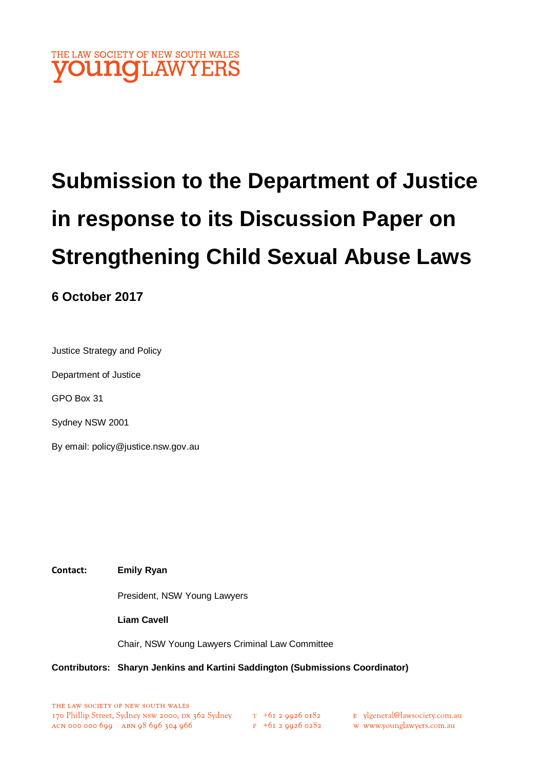

# **Submission to the Department of Justice in response to its Discussion Paper on Strengthening Child Sexual Abuse Laws**

## **6 October 2017**

Justice Strategy and Policy

Department of Justice

GPO Box 31

Sydney NSW 2001

By email: policy@justice.nsw.gov.au

**Contact: Emily Ryan**

President, NSW Young Lawyers

**Liam Cavell**

Chair, NSW Young Lawyers Criminal Law Committee

#### **Contributors: Sharyn Jenkins and Kartini Saddington (Submissions Coordinator)**

E ylgeneral@lawsociety.com.au

w www.younglawyers.com.au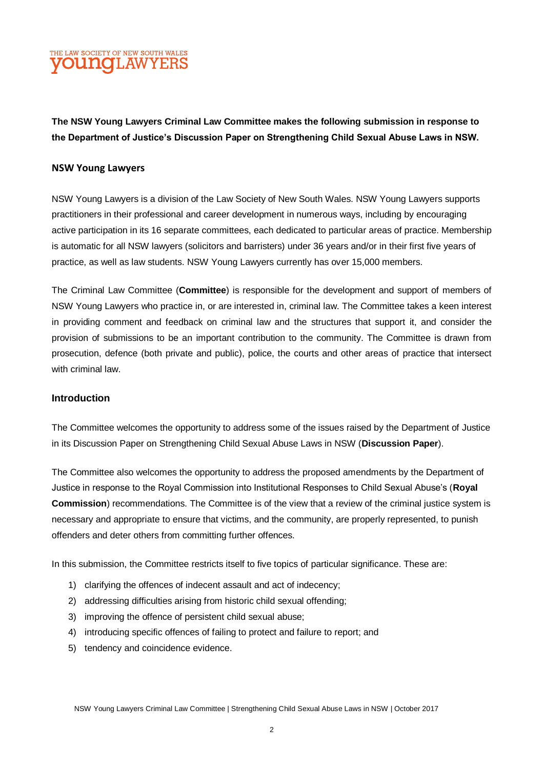

**The NSW Young Lawyers Criminal Law Committee makes the following submission in response to the Department of Justice's Discussion Paper on Strengthening Child Sexual Abuse Laws in NSW.**

#### **NSW Young Lawyers**

NSW Young Lawyers is a division of the Law Society of New South Wales. NSW Young Lawyers supports practitioners in their professional and career development in numerous ways, including by encouraging active participation in its 16 separate committees, each dedicated to particular areas of practice. Membership is automatic for all NSW lawyers (solicitors and barristers) under 36 years and/or in their first five years of practice, as well as law students. NSW Young Lawyers currently has over 15,000 members.

The Criminal Law Committee (**Committee**) is responsible for the development and support of members of NSW Young Lawyers who practice in, or are interested in, criminal law. The Committee takes a keen interest in providing comment and feedback on criminal law and the structures that support it, and consider the provision of submissions to be an important contribution to the community. The Committee is drawn from prosecution, defence (both private and public), police, the courts and other areas of practice that intersect with criminal law.

#### **Introduction**

The Committee welcomes the opportunity to address some of the issues raised by the Department of Justice in its Discussion Paper on Strengthening Child Sexual Abuse Laws in NSW (**Discussion Paper**).

The Committee also welcomes the opportunity to address the proposed amendments by the Department of Justice in response to the Royal Commission into Institutional Responses to Child Sexual Abuse's (**Royal Commission**) recommendations. The Committee is of the view that a review of the criminal justice system is necessary and appropriate to ensure that victims, and the community, are properly represented, to punish offenders and deter others from committing further offences.

In this submission, the Committee restricts itself to five topics of particular significance. These are:

- 1) clarifying the offences of indecent assault and act of indecency;
- 2) addressing difficulties arising from historic child sexual offending;
- 3) improving the offence of persistent child sexual abuse;
- 4) introducing specific offences of failing to protect and failure to report; and
- 5) tendency and coincidence evidence.

NSW Young Lawyers Criminal Law Committee | Strengthening Child Sexual Abuse Laws in NSW | October 2017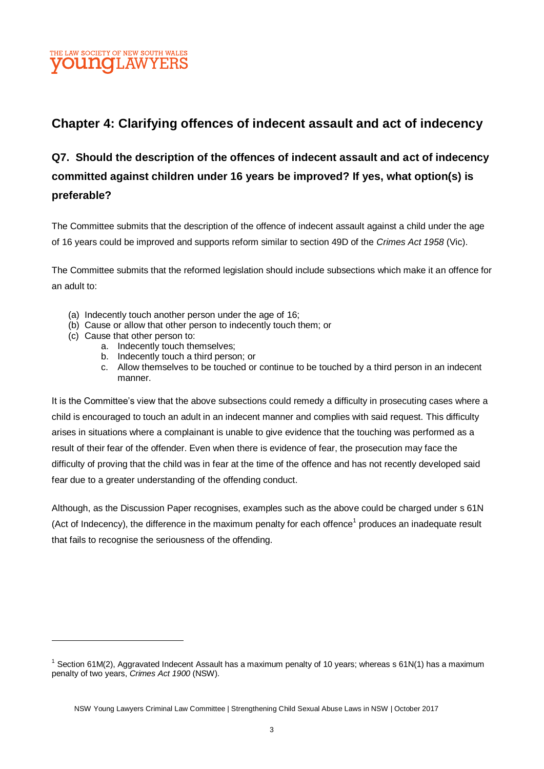## THE LAW SOCIETY OF NEW SOUTH WALES **DUINOH AW**

## **Chapter 4: Clarifying offences of indecent assault and act of indecency**

## **Q7. Should the description of the offences of indecent assault and act of indecency committed against children under 16 years be improved? If yes, what option(s) is preferable?**

The Committee submits that the description of the offence of indecent assault against a child under the age of 16 years could be improved and supports reform similar to section 49D of the *Crimes Act 1958* (Vic).

The Committee submits that the reformed legislation should include subsections which make it an offence for an adult to:

- (a) Indecently touch another person under the age of 16;
- (b) Cause or allow that other person to indecently touch them; or
- (c) Cause that other person to:

- a. Indecently touch themselves;
- b. Indecently touch a third person; or
- c. Allow themselves to be touched or continue to be touched by a third person in an indecent manner.

It is the Committee's view that the above subsections could remedy a difficulty in prosecuting cases where a child is encouraged to touch an adult in an indecent manner and complies with said request. This difficulty arises in situations where a complainant is unable to give evidence that the touching was performed as a result of their fear of the offender. Even when there is evidence of fear, the prosecution may face the difficulty of proving that the child was in fear at the time of the offence and has not recently developed said fear due to a greater understanding of the offending conduct.

Although, as the Discussion Paper recognises, examples such as the above could be charged under s 61N (Act of Indecency), the difference in the maximum penalty for each offence<sup>1</sup> produces an inadequate result that fails to recognise the seriousness of the offending.

 $1$  Section 61M(2), Aggravated Indecent Assault has a maximum penalty of 10 years; whereas s 61N(1) has a maximum penalty of two years, *Crimes Act 1900* (NSW).

NSW Young Lawyers Criminal Law Committee | Strengthening Child Sexual Abuse Laws in NSW | October 2017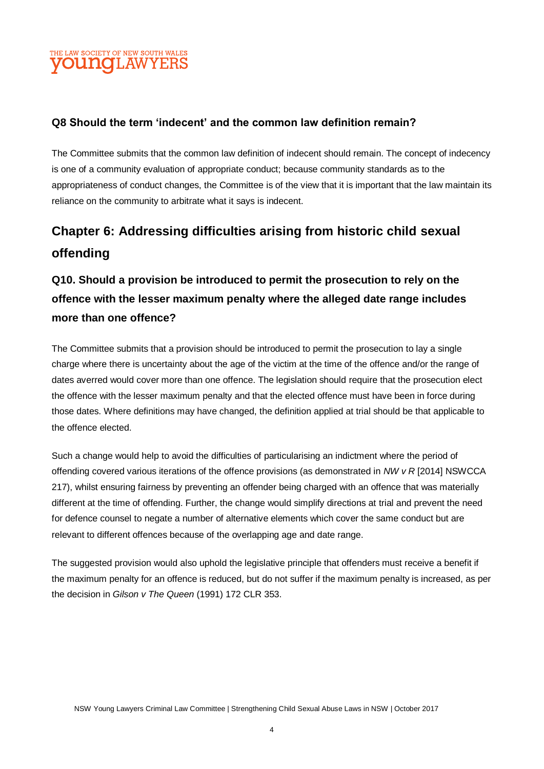## THE LAW SOCIETY OF NEW SOUTH WALES **OUNOLAW**

#### **Q8 Should the term 'indecent' and the common law definition remain?**

The Committee submits that the common law definition of indecent should remain. The concept of indecency is one of a community evaluation of appropriate conduct; because community standards as to the appropriateness of conduct changes, the Committee is of the view that it is important that the law maintain its reliance on the community to arbitrate what it says is indecent.

# **Chapter 6: Addressing difficulties arising from historic child sexual offending**

# **Q10. Should a provision be introduced to permit the prosecution to rely on the offence with the lesser maximum penalty where the alleged date range includes more than one offence?**

The Committee submits that a provision should be introduced to permit the prosecution to lay a single charge where there is uncertainty about the age of the victim at the time of the offence and/or the range of dates averred would cover more than one offence. The legislation should require that the prosecution elect the offence with the lesser maximum penalty and that the elected offence must have been in force during those dates. Where definitions may have changed, the definition applied at trial should be that applicable to the offence elected.

Such a change would help to avoid the difficulties of particularising an indictment where the period of offending covered various iterations of the offence provisions (as demonstrated in *NW v R* [2014] NSWCCA 217), whilst ensuring fairness by preventing an offender being charged with an offence that was materially different at the time of offending. Further, the change would simplify directions at trial and prevent the need for defence counsel to negate a number of alternative elements which cover the same conduct but are relevant to different offences because of the overlapping age and date range.

The suggested provision would also uphold the legislative principle that offenders must receive a benefit if the maximum penalty for an offence is reduced, but do not suffer if the maximum penalty is increased, as per the decision in *Gilson v The Queen* (1991) 172 CLR 353.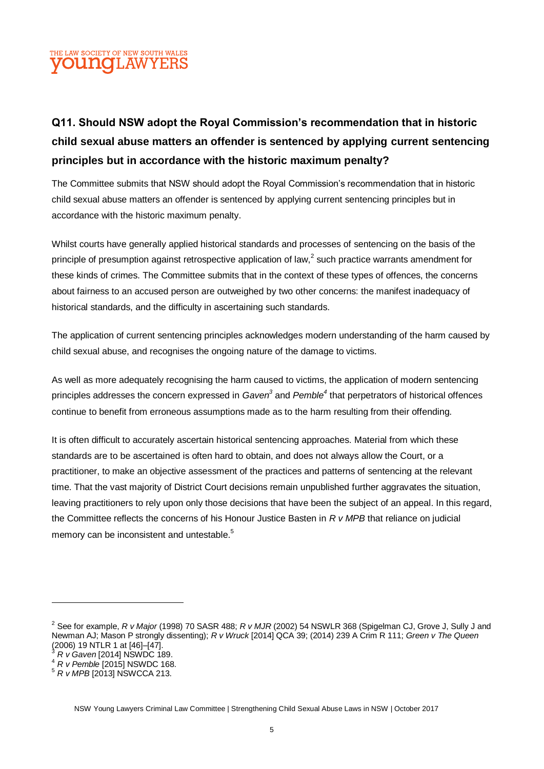

# **Q11. Should NSW adopt the Royal Commission's recommendation that in historic child sexual abuse matters an offender is sentenced by applying current sentencing principles but in accordance with the historic maximum penalty?**

The Committee submits that NSW should adopt the Royal Commission's recommendation that in historic child sexual abuse matters an offender is sentenced by applying current sentencing principles but in accordance with the historic maximum penalty.

Whilst courts have generally applied historical standards and processes of sentencing on the basis of the principle of presumption against retrospective application of law,<sup>2</sup> such practice warrants amendment for these kinds of crimes. The Committee submits that in the context of these types of offences, the concerns about fairness to an accused person are outweighed by two other concerns: the manifest inadequacy of historical standards, and the difficulty in ascertaining such standards.

The application of current sentencing principles acknowledges modern understanding of the harm caused by child sexual abuse, and recognises the ongoing nature of the damage to victims.

As well as more adequately recognising the harm caused to victims, the application of modern sentencing principles addresses the concern expressed in *Gaven<sup>3</sup>* and *Pemble<sup>4</sup>* that perpetrators of historical offences continue to benefit from erroneous assumptions made as to the harm resulting from their offending.

It is often difficult to accurately ascertain historical sentencing approaches. Material from which these standards are to be ascertained is often hard to obtain, and does not always allow the Court, or a practitioner, to make an objective assessment of the practices and patterns of sentencing at the relevant time. That the vast majority of District Court decisions remain unpublished further aggravates the situation, leaving practitioners to rely upon only those decisions that have been the subject of an appeal. In this regard, the Committee reflects the concerns of his Honour Justice Basten in *R v MPB* that reliance on judicial memory can be inconsistent and untestable.<sup>5</sup>

<sup>2</sup> See for example, *R v Major* (1998) 70 SASR 488; *R v MJR* (2002) 54 NSWLR 368 (Spigelman CJ, Grove J, Sully J and Newman AJ; Mason P strongly dissenting); *R v Wruck* [2014] QCA 39; (2014) 239 A Crim R 111; *Green v The Queen* (2006) 19 NTLR 1 at [46]–[47].

<sup>3</sup> *R v Gaven* [2014] NSWDC 189.

<sup>4</sup> *R v Pemble* [2015] NSWDC 168.

<sup>5</sup> *R v MPB* [2013] NSWCCA 213.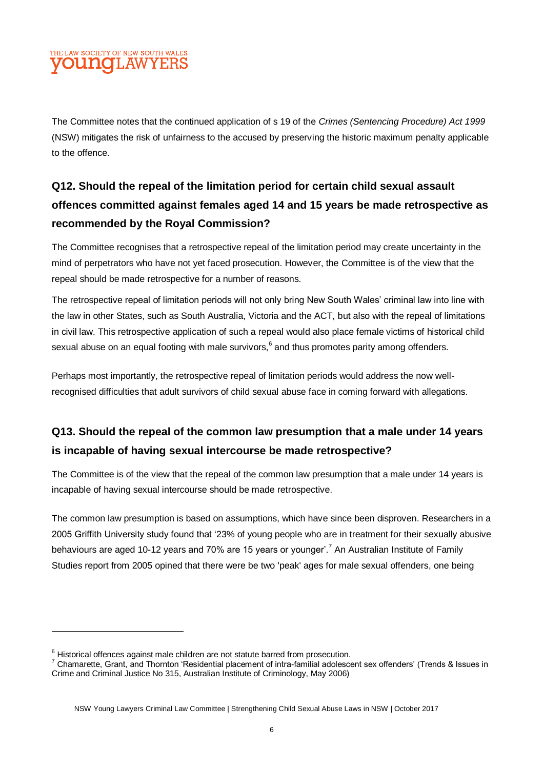## THE LAW SOCIETY OF NEW SOUTH WALES **DUNCLAW**

The Committee notes that the continued application of s 19 of the *Crimes (Sentencing Procedure) Act 1999* (NSW) mitigates the risk of unfairness to the accused by preserving the historic maximum penalty applicable to the offence.

# **Q12. Should the repeal of the limitation period for certain child sexual assault offences committed against females aged 14 and 15 years be made retrospective as recommended by the Royal Commission?**

The Committee recognises that a retrospective repeal of the limitation period may create uncertainty in the mind of perpetrators who have not yet faced prosecution. However, the Committee is of the view that the repeal should be made retrospective for a number of reasons.

The retrospective repeal of limitation periods will not only bring New South Wales' criminal law into line with the law in other States, such as South Australia, Victoria and the ACT, but also with the repeal of limitations in civil law. This retrospective application of such a repeal would also place female victims of historical child sexual abuse on an equal footing with male survivors,  $^6$  and thus promotes parity among offenders.

Perhaps most importantly, the retrospective repeal of limitation periods would address the now wellrecognised difficulties that adult survivors of child sexual abuse face in coming forward with allegations.

## **Q13. Should the repeal of the common law presumption that a male under 14 years is incapable of having sexual intercourse be made retrospective?**

The Committee is of the view that the repeal of the common law presumption that a male under 14 years is incapable of having sexual intercourse should be made retrospective.

The common law presumption is based on assumptions, which have since been disproven. Researchers in a 2005 Griffith University study found that '23% of young people who are in treatment for their sexually abusive behaviours are aged 10-12 years and 70% are 15 years or younger'.<sup>7</sup> An Australian Institute of Family Studies report from 2005 opined that there were be two 'peak' ages for male sexual offenders, one being

 $6$  Historical offences against male children are not statute barred from prosecution.

 $7$  Chamarette. Grant. and Thornton 'Residential placement of intra-familial adolescent sex offenders' (Trends & Issues in Crime and Criminal Justice No 315, Australian Institute of Criminology, May 2006)

NSW Young Lawyers Criminal Law Committee | Strengthening Child Sexual Abuse Laws in NSW | October 2017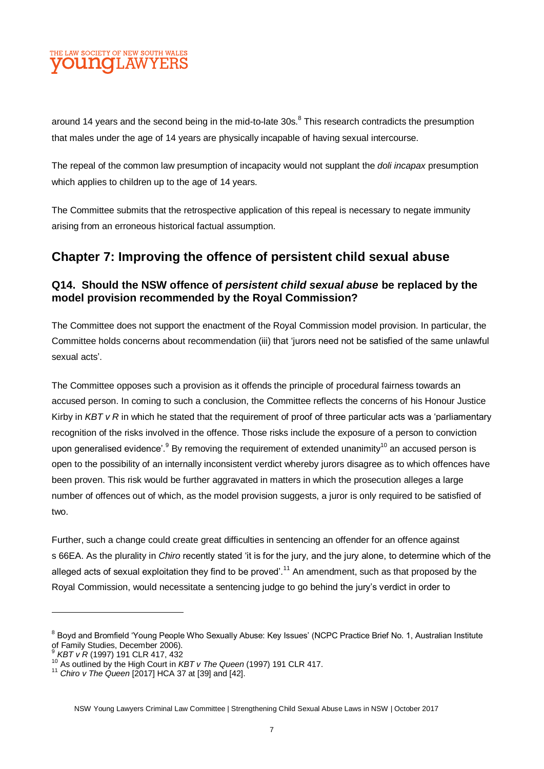

around 14 years and the second being in the mid-to-late 30s.<sup>8</sup> This research contradicts the presumption that males under the age of 14 years are physically incapable of having sexual intercourse.

The repeal of the common law presumption of incapacity would not supplant the *doli incapax* presumption which applies to children up to the age of 14 years.

The Committee submits that the retrospective application of this repeal is necessary to negate immunity arising from an erroneous historical factual assumption.

## **Chapter 7: Improving the offence of persistent child sexual abuse**

#### **Q14. Should the NSW offence of** *persistent child sexual abuse* **be replaced by the model provision recommended by the Royal Commission?**

The Committee does not support the enactment of the Royal Commission model provision. In particular, the Committee holds concerns about recommendation (iii) that 'jurors need not be satisfied of the same unlawful sexual acts'.

The Committee opposes such a provision as it offends the principle of procedural fairness towards an accused person. In coming to such a conclusion, the Committee reflects the concerns of his Honour Justice Kirby in *KBT v R* in which he stated that the requirement of proof of three particular acts was a 'parliamentary recognition of the risks involved in the offence. Those risks include the exposure of a person to conviction upon generalised evidence'.<sup>9</sup> By removing the requirement of extended unanimity<sup>10</sup> an accused person is open to the possibility of an internally inconsistent verdict whereby jurors disagree as to which offences have been proven. This risk would be further aggravated in matters in which the prosecution alleges a large number of offences out of which, as the model provision suggests, a juror is only required to be satisfied of two.

Further, such a change could create great difficulties in sentencing an offender for an offence against s 66EA. As the plurality in *Chiro* recently stated 'it is for the jury, and the jury alone, to determine which of the alleged acts of sexual exploitation they find to be proved'.<sup>11</sup> An amendment, such as that proposed by the Royal Commission, would necessitate a sentencing judge to go behind the jury's verdict in order to

<sup>8</sup> Boyd and Bromfield 'Young People Who Sexually Abuse: Key Issues' (NCPC Practice Brief No. 1, Australian Institute of Family Studies, December 2006).

<sup>9</sup> *KBT v R* (1997) 191 CLR 417, 432

<sup>10</sup> As outlined by the High Court in *KBT v The Queen* (1997) 191 CLR 417.

<sup>11</sup> *Chiro v The Queen* [2017] HCA 37 at [39] and [42].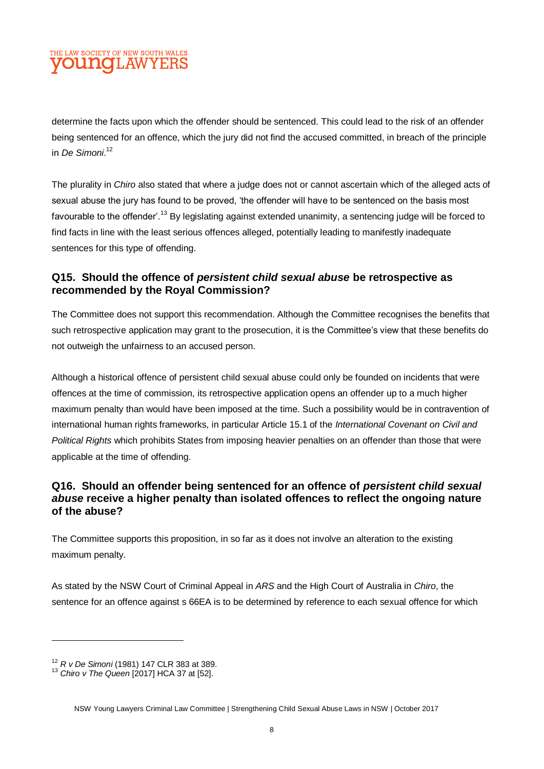#### THE LAW SOCIETY OF NEW SOUTH WALES **OUNCLAW**

determine the facts upon which the offender should be sentenced. This could lead to the risk of an offender being sentenced for an offence, which the jury did not find the accused committed, in breach of the principle in *De Simoni*. 12

The plurality in *Chiro* also stated that where a judge does not or cannot ascertain which of the alleged acts of sexual abuse the jury has found to be proved, 'the offender will have to be sentenced on the basis most favourable to the offender'.<sup>13</sup> By legislating against extended unanimity, a sentencing judge will be forced to find facts in line with the least serious offences alleged, potentially leading to manifestly inadequate sentences for this type of offending.

#### **Q15. Should the offence of** *persistent child sexual abuse* **be retrospective as recommended by the Royal Commission?**

The Committee does not support this recommendation. Although the Committee recognises the benefits that such retrospective application may grant to the prosecution, it is the Committee's view that these benefits do not outweigh the unfairness to an accused person.

Although a historical offence of persistent child sexual abuse could only be founded on incidents that were offences at the time of commission, its retrospective application opens an offender up to a much higher maximum penalty than would have been imposed at the time. Such a possibility would be in contravention of international human rights frameworks, in particular Article 15.1 of the *International Covenant on Civil and Political Rights* which prohibits States from imposing heavier penalties on an offender than those that were applicable at the time of offending.

#### **Q16. Should an offender being sentenced for an offence of** *persistent child sexual abuse* **receive a higher penalty than isolated offences to reflect the ongoing nature of the abuse?**

The Committee supports this proposition, in so far as it does not involve an alteration to the existing maximum penalty.

As stated by the NSW Court of Criminal Appeal in *ARS* and the High Court of Australia in *Chiro*, the sentence for an offence against s 66EA is to be determined by reference to each sexual offence for which

<sup>12</sup> *R v De Simoni* (1981) 147 CLR 383 at 389.

<sup>13</sup> *Chiro v The Queen* [2017] HCA 37 at [52].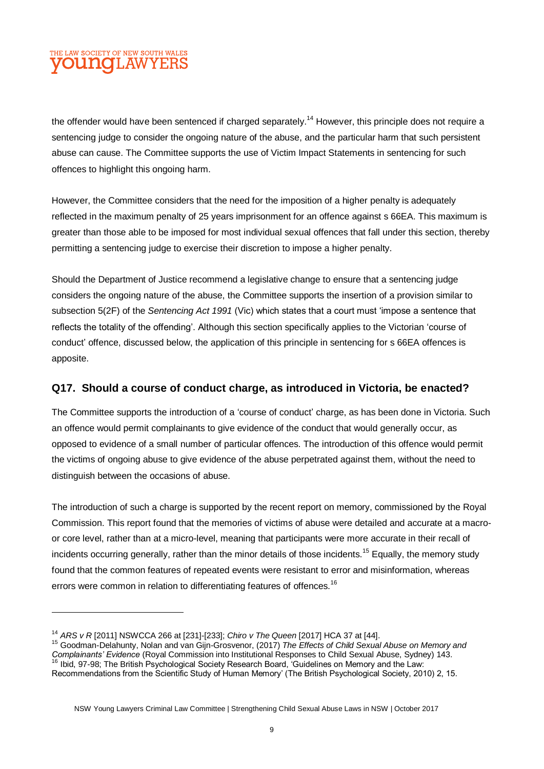### THE LAW SOCIETY OF NEW SOUTH WALES **DUNCLAW**

the offender would have been sentenced if charged separately.<sup>14</sup> However, this principle does not require a sentencing judge to consider the ongoing nature of the abuse, and the particular harm that such persistent abuse can cause. The Committee supports the use of Victim Impact Statements in sentencing for such offences to highlight this ongoing harm.

However, the Committee considers that the need for the imposition of a higher penalty is adequately reflected in the maximum penalty of 25 years imprisonment for an offence against s 66EA. This maximum is greater than those able to be imposed for most individual sexual offences that fall under this section, thereby permitting a sentencing judge to exercise their discretion to impose a higher penalty.

Should the Department of Justice recommend a legislative change to ensure that a sentencing judge considers the ongoing nature of the abuse, the Committee supports the insertion of a provision similar to subsection 5(2F) of the *Sentencing Act 1991* (Vic) which states that a court must 'impose a sentence that reflects the totality of the offending'. Although this section specifically applies to the Victorian 'course of conduct' offence, discussed below, the application of this principle in sentencing for s 66EA offences is apposite.

#### **Q17. Should a course of conduct charge, as introduced in Victoria, be enacted?**

The Committee supports the introduction of a 'course of conduct' charge, as has been done in Victoria. Such an offence would permit complainants to give evidence of the conduct that would generally occur, as opposed to evidence of a small number of particular offences. The introduction of this offence would permit the victims of ongoing abuse to give evidence of the abuse perpetrated against them, without the need to distinguish between the occasions of abuse.

The introduction of such a charge is supported by the recent report on memory, commissioned by the Royal Commission. This report found that the memories of victims of abuse were detailed and accurate at a macroor core level, rather than at a micro-level, meaning that participants were more accurate in their recall of incidents occurring generally, rather than the minor details of those incidents.<sup>15</sup> Equally, the memory study found that the common features of repeated events were resistant to error and misinformation, whereas errors were common in relation to differentiating features of offences.<sup>16</sup>

<sup>14</sup> *ARS v R* [2011] NSWCCA 266 at [231]-[233]; *Chiro v The Queen* [2017] HCA 37 at [44].

<sup>15</sup> Goodman-Delahunty, Nolan and van Gijn-Grosvenor, (2017) *The Effects of Child Sexual Abuse on Memory and Complainants' Evidence* (Royal Commission into Institutional Responses to Child Sexual Abuse, Sydney) 143.<br><sup>16</sup> Ibid. 07.09: The Pritish Responses into Institutional Responses to Child Sexual Abuse, Sydney) 143. <sup>16</sup> Ibid, 97-98; The British Psychological Society Research Board, 'Guidelines on Memory and the Law: Recommendations from the Scientific Study of Human Memory' (The British Psychological Society, 2010) 2, 15.

NSW Young Lawyers Criminal Law Committee | Strengthening Child Sexual Abuse Laws in NSW | October 2017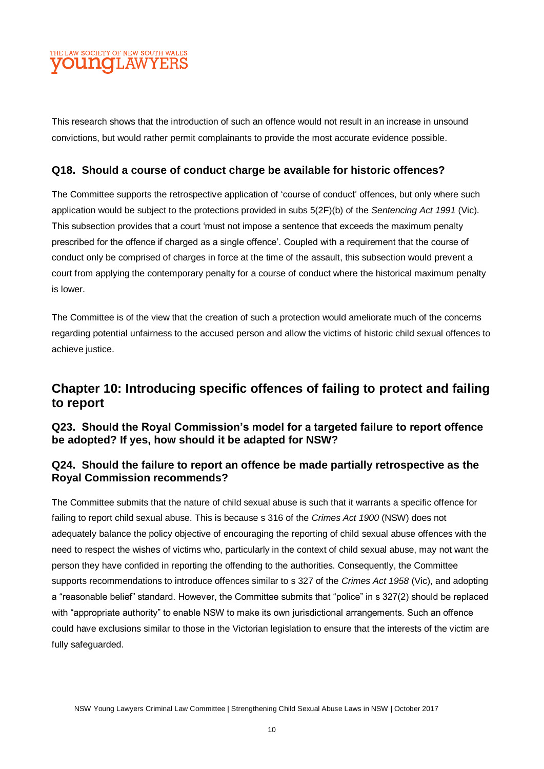#### THE LAW SOCIETY OF NEW SOUTH WALES **OUNQLAW**

This research shows that the introduction of such an offence would not result in an increase in unsound convictions, but would rather permit complainants to provide the most accurate evidence possible.

#### **Q18. Should a course of conduct charge be available for historic offences?**

The Committee supports the retrospective application of 'course of conduct' offences, but only where such application would be subject to the protections provided in subs 5(2F)(b) of the *Sentencing Act 1991* (Vic). This subsection provides that a court 'must not impose a sentence that exceeds the maximum penalty prescribed for the offence if charged as a single offence'. Coupled with a requirement that the course of conduct only be comprised of charges in force at the time of the assault, this subsection would prevent a court from applying the contemporary penalty for a course of conduct where the historical maximum penalty is lower.

The Committee is of the view that the creation of such a protection would ameliorate much of the concerns regarding potential unfairness to the accused person and allow the victims of historic child sexual offences to achieve justice.

## **Chapter 10: Introducing specific offences of failing to protect and failing to report**

**Q23. Should the Royal Commission's model for a targeted failure to report offence be adopted? If yes, how should it be adapted for NSW?** 

#### **Q24. Should the failure to report an offence be made partially retrospective as the Royal Commission recommends?**

The Committee submits that the nature of child sexual abuse is such that it warrants a specific offence for failing to report child sexual abuse. This is because s 316 of the *Crimes Act 1900* (NSW) does not adequately balance the policy objective of encouraging the reporting of child sexual abuse offences with the need to respect the wishes of victims who, particularly in the context of child sexual abuse, may not want the person they have confided in reporting the offending to the authorities. Consequently, the Committee supports recommendations to introduce offences similar to s 327 of the *Crimes Act 1958* (Vic), and adopting a "reasonable belief" standard. However, the Committee submits that "police" in s 327(2) should be replaced with "appropriate authority" to enable NSW to make its own jurisdictional arrangements. Such an offence could have exclusions similar to those in the Victorian legislation to ensure that the interests of the victim are fully safeguarded.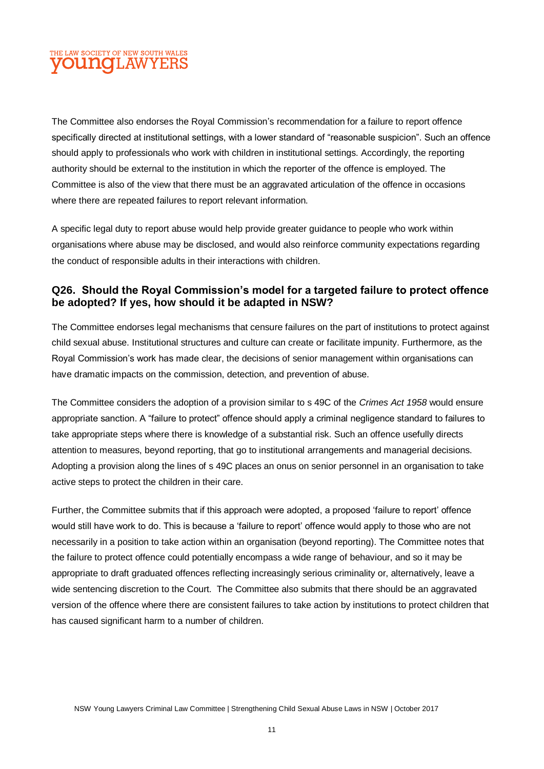## THE LAW SOCIETY OF NEW SOUTH WALES **OUNCLAWYERS**

The Committee also endorses the Royal Commission's recommendation for a failure to report offence specifically directed at institutional settings, with a lower standard of "reasonable suspicion". Such an offence should apply to professionals who work with children in institutional settings. Accordingly, the reporting authority should be external to the institution in which the reporter of the offence is employed. The Committee is also of the view that there must be an aggravated articulation of the offence in occasions where there are repeated failures to report relevant information.

A specific legal duty to report abuse would help provide greater guidance to people who work within organisations where abuse may be disclosed, and would also reinforce community expectations regarding the conduct of responsible adults in their interactions with children.

#### **Q26. Should the Royal Commission's model for a targeted failure to protect offence be adopted? If yes, how should it be adapted in NSW?**

The Committee endorses legal mechanisms that censure failures on the part of institutions to protect against child sexual abuse. Institutional structures and culture can create or facilitate impunity. Furthermore, as the Royal Commission's work has made clear, the decisions of senior management within organisations can have dramatic impacts on the commission, detection, and prevention of abuse.

The Committee considers the adoption of a provision similar to s 49C of the *Crimes Act 1958* would ensure appropriate sanction. A "failure to protect" offence should apply a criminal negligence standard to failures to take appropriate steps where there is knowledge of a substantial risk. Such an offence usefully directs attention to measures, beyond reporting, that go to institutional arrangements and managerial decisions. Adopting a provision along the lines of s 49C places an onus on senior personnel in an organisation to take active steps to protect the children in their care.

Further, the Committee submits that if this approach were adopted, a proposed 'failure to report' offence would still have work to do. This is because a 'failure to report' offence would apply to those who are not necessarily in a position to take action within an organisation (beyond reporting). The Committee notes that the failure to protect offence could potentially encompass a wide range of behaviour, and so it may be appropriate to draft graduated offences reflecting increasingly serious criminality or, alternatively, leave a wide sentencing discretion to the Court. The Committee also submits that there should be an aggravated version of the offence where there are consistent failures to take action by institutions to protect children that has caused significant harm to a number of children.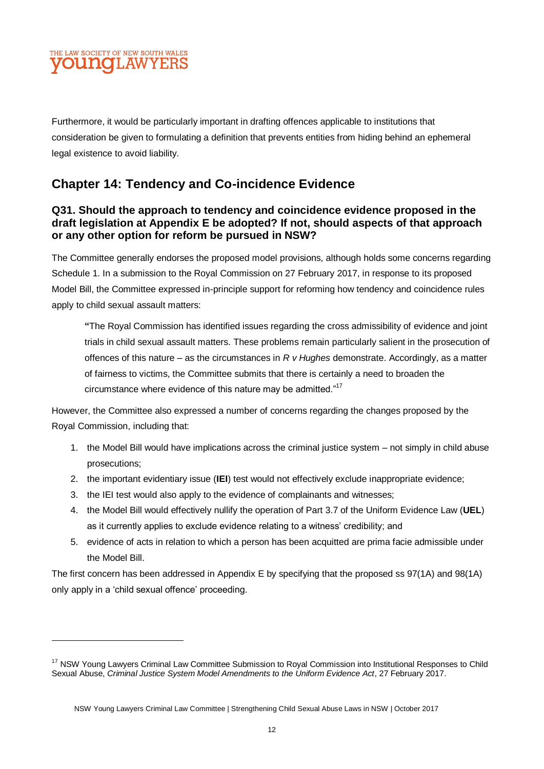#### THE LAW SOCIETY OF NEW SOUTH WALES **OUNGLAW**

Furthermore, it would be particularly important in drafting offences applicable to institutions that consideration be given to formulating a definition that prevents entities from hiding behind an ephemeral legal existence to avoid liability.

## **Chapter 14: Tendency and Co-incidence Evidence**

#### **Q31. Should the approach to tendency and coincidence evidence proposed in the draft legislation at Appendix E be adopted? If not, should aspects of that approach or any other option for reform be pursued in NSW?**

The Committee generally endorses the proposed model provisions, although holds some concerns regarding Schedule 1. In a submission to the Royal Commission on 27 February 2017, in response to its proposed Model Bill, the Committee expressed in-principle support for reforming how tendency and coincidence rules apply to child sexual assault matters:

**"**The Royal Commission has identified issues regarding the cross admissibility of evidence and joint trials in child sexual assault matters. These problems remain particularly salient in the prosecution of offences of this nature – as the circumstances in *R v Hughes* demonstrate. Accordingly, as a matter of fairness to victims, the Committee submits that there is certainly a need to broaden the circumstance where evidence of this nature may be admitted."<sup>17</sup>

However, the Committee also expressed a number of concerns regarding the changes proposed by the Royal Commission, including that:

- 1. the Model Bill would have implications across the criminal justice system not simply in child abuse prosecutions;
- 2. the important evidentiary issue (**IEI**) test would not effectively exclude inappropriate evidence;
- 3. the IEI test would also apply to the evidence of complainants and witnesses;
- 4. the Model Bill would effectively nullify the operation of Part 3.7 of the Uniform Evidence Law (**UEL**) as it currently applies to exclude evidence relating to a witness' credibility; and
- 5. evidence of acts in relation to which a person has been acquitted are prima facie admissible under the Model Bill.

The first concern has been addressed in Appendix E by specifying that the proposed ss 97(1A) and 98(1A) only apply in a 'child sexual offence' proceeding.

<sup>&</sup>lt;sup>17</sup> NSW Young Lawyers Criminal Law Committee Submission to Royal Commission into Institutional Responses to Child Sexual Abuse, *Criminal Justice System Model Amendments to the Uniform Evidence Act*, 27 February 2017.

NSW Young Lawyers Criminal Law Committee | Strengthening Child Sexual Abuse Laws in NSW | October 2017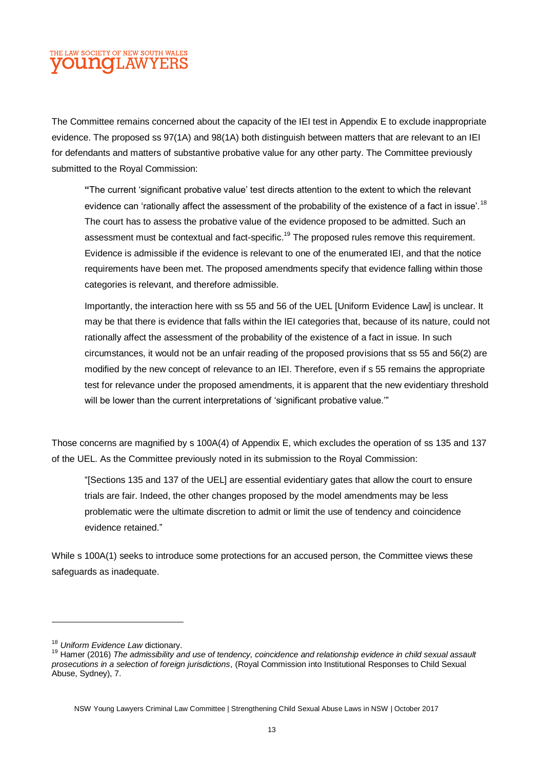### THE LAW SOCIETY OF NEW SOUTH WALES **OUNCLAW**

The Committee remains concerned about the capacity of the IEI test in Appendix E to exclude inappropriate evidence. The proposed ss 97(1A) and 98(1A) both distinguish between matters that are relevant to an IEI for defendants and matters of substantive probative value for any other party. The Committee previously submitted to the Royal Commission:

**"**The current 'significant probative value' test directs attention to the extent to which the relevant evidence can 'rationally affect the assessment of the probability of the existence of a fact in issue'.<sup>18</sup> The court has to assess the probative value of the evidence proposed to be admitted. Such an assessment must be contextual and fact-specific.<sup>19</sup> The proposed rules remove this requirement. Evidence is admissible if the evidence is relevant to one of the enumerated IEI, and that the notice requirements have been met. The proposed amendments specify that evidence falling within those categories is relevant, and therefore admissible.

Importantly, the interaction here with ss 55 and 56 of the UEL [Uniform Evidence Law] is unclear. It may be that there is evidence that falls within the IEI categories that, because of its nature, could not rationally affect the assessment of the probability of the existence of a fact in issue. In such circumstances, it would not be an unfair reading of the proposed provisions that ss 55 and 56(2) are modified by the new concept of relevance to an IEI. Therefore, even if s 55 remains the appropriate test for relevance under the proposed amendments, it is apparent that the new evidentiary threshold will be lower than the current interpretations of 'significant probative value."

Those concerns are magnified by s 100A(4) of Appendix E, which excludes the operation of ss 135 and 137 of the UEL. As the Committee previously noted in its submission to the Royal Commission:

"[Sections 135 and 137 of the UEL] are essential evidentiary gates that allow the court to ensure trials are fair. Indeed, the other changes proposed by the model amendments may be less problematic were the ultimate discretion to admit or limit the use of tendency and coincidence evidence retained."

While s 100A(1) seeks to introduce some protections for an accused person, the Committee views these safeguards as inadequate.

<sup>18</sup> *Uniform Evidence Law* dictionary.

<sup>19</sup> Hamer (2016) *The admissibility and use of tendency, coincidence and relationship evidence in child sexual assault prosecutions in a selection of foreign jurisdictions*, (Royal Commission into Institutional Responses to Child Sexual Abuse, Sydney), 7.

NSW Young Lawyers Criminal Law Committee | Strengthening Child Sexual Abuse Laws in NSW | October 2017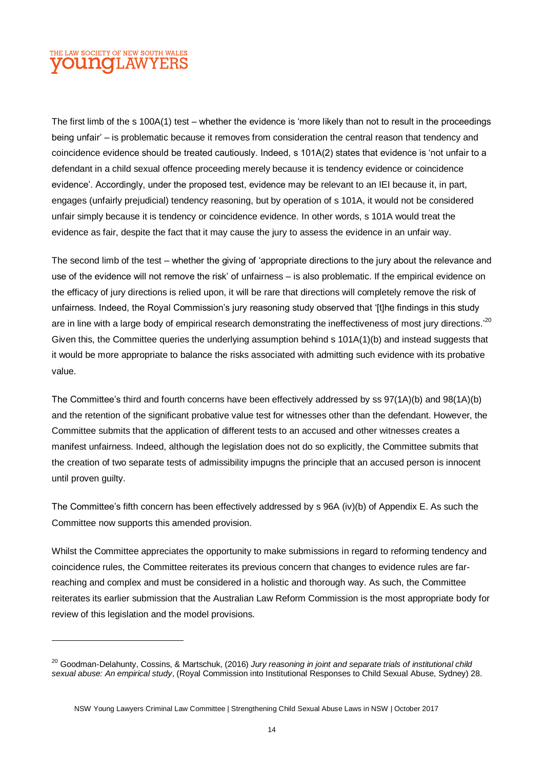#### THE LAW SOCIETY OF NEW SOUTH WALES **OUNGLAW**

The first limb of the s 100A(1) test – whether the evidence is 'more likely than not to result in the proceedings being unfair' – is problematic because it removes from consideration the central reason that tendency and coincidence evidence should be treated cautiously. Indeed, s 101A(2) states that evidence is 'not unfair to a defendant in a child sexual offence proceeding merely because it is tendency evidence or coincidence evidence'. Accordingly, under the proposed test, evidence may be relevant to an IEI because it, in part, engages (unfairly prejudicial) tendency reasoning, but by operation of s 101A, it would not be considered unfair simply because it is tendency or coincidence evidence. In other words, s 101A would treat the evidence as fair, despite the fact that it may cause the jury to assess the evidence in an unfair way.

The second limb of the test – whether the giving of 'appropriate directions to the jury about the relevance and use of the evidence will not remove the risk' of unfairness – is also problematic. If the empirical evidence on the efficacy of jury directions is relied upon, it will be rare that directions will completely remove the risk of unfairness. Indeed, the Royal Commission's jury reasoning study observed that '[t]he findings in this study are in line with a large body of empirical research demonstrating the ineffectiveness of most jury directions.'<sup>20</sup> Given this, the Committee queries the underlying assumption behind s 101A(1)(b) and instead suggests that it would be more appropriate to balance the risks associated with admitting such evidence with its probative value.

The Committee's third and fourth concerns have been effectively addressed by ss 97(1A)(b) and 98(1A)(b) and the retention of the significant probative value test for witnesses other than the defendant. However, the Committee submits that the application of different tests to an accused and other witnesses creates a manifest unfairness. Indeed, although the legislation does not do so explicitly, the Committee submits that the creation of two separate tests of admissibility impugns the principle that an accused person is innocent until proven guilty.

The Committee's fifth concern has been effectively addressed by s 96A (iv)(b) of Appendix E. As such the Committee now supports this amended provision.

Whilst the Committee appreciates the opportunity to make submissions in regard to reforming tendency and coincidence rules, the Committee reiterates its previous concern that changes to evidence rules are farreaching and complex and must be considered in a holistic and thorough way. As such, the Committee reiterates its earlier submission that the Australian Law Reform Commission is the most appropriate body for review of this legislation and the model provisions.

<sup>20</sup> Goodman-Delahunty, Cossins, & Martschuk, (2016) *Jury reasoning in joint and separate trials of institutional child sexual abuse: An empirical study*, (Royal Commission into Institutional Responses to Child Sexual Abuse, Sydney) 28.

NSW Young Lawyers Criminal Law Committee | Strengthening Child Sexual Abuse Laws in NSW | October 2017